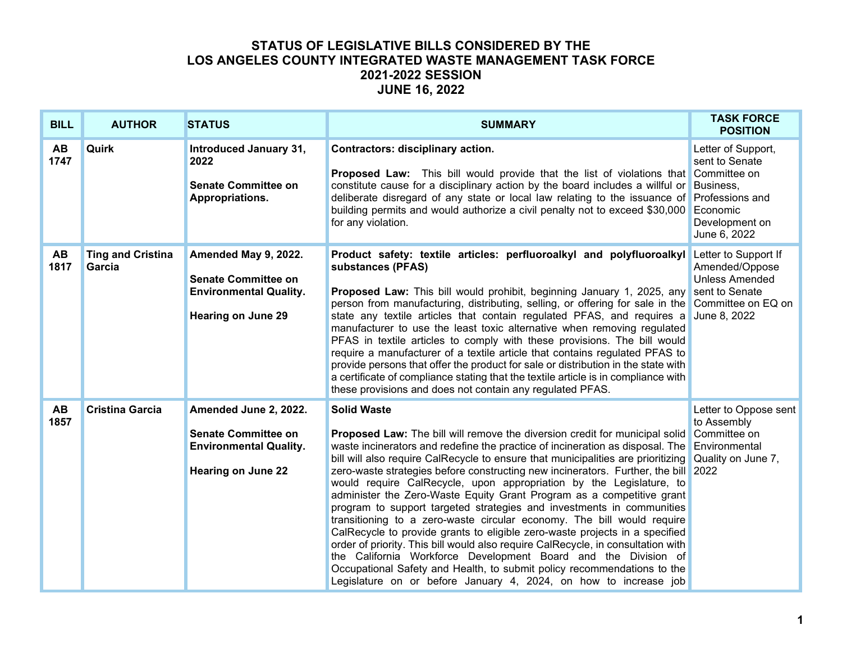| <b>BILL</b>       | <b>AUTHOR</b>                      | <b>STATUS</b>                                                                                                     | <b>SUMMARY</b>                                                                                                                                                                                                                                                                                                                                                                                                                                                                                                                                                                                                                                                                                                                                                                                                                                                                                                                                                                                                                                             | <b>TASK FORCE</b><br><b>POSITION</b>                                                                                      |
|-------------------|------------------------------------|-------------------------------------------------------------------------------------------------------------------|------------------------------------------------------------------------------------------------------------------------------------------------------------------------------------------------------------------------------------------------------------------------------------------------------------------------------------------------------------------------------------------------------------------------------------------------------------------------------------------------------------------------------------------------------------------------------------------------------------------------------------------------------------------------------------------------------------------------------------------------------------------------------------------------------------------------------------------------------------------------------------------------------------------------------------------------------------------------------------------------------------------------------------------------------------|---------------------------------------------------------------------------------------------------------------------------|
| <b>AB</b><br>1747 | Quirk                              | Introduced January 31,<br>2022<br><b>Senate Committee on</b><br>Appropriations.                                   | Contractors: disciplinary action.<br><b>Proposed Law:</b> This bill would provide that the list of violations that Committee on<br>constitute cause for a disciplinary action by the board includes a willful or<br>deliberate disregard of any state or local law relating to the issuance of<br>building permits and would authorize a civil penalty not to exceed \$30,000<br>for any violation.                                                                                                                                                                                                                                                                                                                                                                                                                                                                                                                                                                                                                                                        | Letter of Support,<br>sent to Senate<br>Business,<br><b>Professions and</b><br>Economic<br>Development on<br>June 6, 2022 |
| AB<br>1817        | <b>Ting and Cristina</b><br>Garcia | Amended May 9, 2022.<br><b>Senate Committee on</b><br><b>Environmental Quality.</b><br><b>Hearing on June 29</b>  | Product safety: textile articles: perfluoroalkyl and polyfluoroalkyl<br>substances (PFAS)<br><b>Proposed Law:</b> This bill would prohibit, beginning January 1, 2025, any<br>person from manufacturing, distributing, selling, or offering for sale in the Committee on EQ on<br>state any textile articles that contain regulated PFAS, and requires a<br>manufacturer to use the least toxic alternative when removing regulated<br>PFAS in textile articles to comply with these provisions. The bill would<br>require a manufacturer of a textile article that contains regulated PFAS to<br>provide persons that offer the product for sale or distribution in the state with<br>a certificate of compliance stating that the textile article is in compliance with<br>these provisions and does not contain any regulated PFAS.                                                                                                                                                                                                                     | Letter to Support If<br>Amended/Oppose<br><b>Unless Amended</b><br>sent to Senate<br>June 8, 2022                         |
| <b>AB</b><br>1857 | <b>Cristina Garcia</b>             | Amended June 2, 2022.<br><b>Senate Committee on</b><br><b>Environmental Quality.</b><br><b>Hearing on June 22</b> | <b>Solid Waste</b><br><b>Proposed Law:</b> The bill will remove the diversion credit for municipal solid<br>waste incinerators and redefine the practice of incineration as disposal. The<br>bill will also require CalRecycle to ensure that municipalities are prioritizing<br>zero-waste strategies before constructing new incinerators. Further, the bill 2022<br>would require CalRecycle, upon appropriation by the Legislature, to<br>administer the Zero-Waste Equity Grant Program as a competitive grant<br>program to support targeted strategies and investments in communities<br>transitioning to a zero-waste circular economy. The bill would require<br>CalRecycle to provide grants to eligible zero-waste projects in a specified<br>order of priority. This bill would also require CalRecycle, in consultation with<br>the California Workforce Development Board and the Division of<br>Occupational Safety and Health, to submit policy recommendations to the<br>Legislature on or before January 4, 2024, on how to increase job | Letter to Oppose sent<br>to Assembly<br>Committee on<br>Environmental<br>Quality on June 7,                               |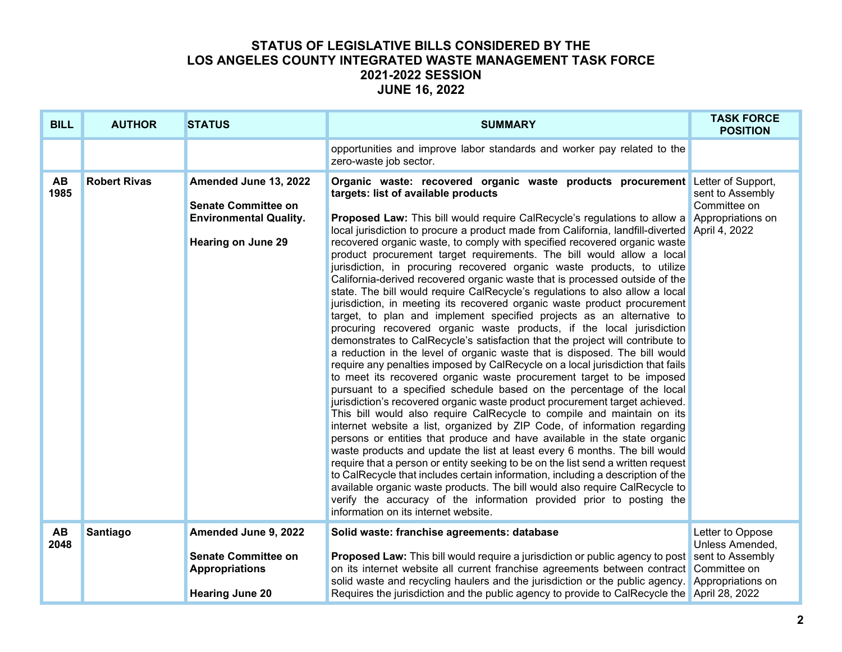| <b>BILL</b>       | <b>AUTHOR</b>       | <b>STATUS</b>                                                                                                     | <b>SUMMARY</b>                                                                                                                                                                                                                                                                                                                                                                                                                                                                                                                                                                                                                                                                                                                                                                                                                                                                                                                                                                                                                                                                                                                                                                                                                                                                                                                                                                                                                                                                                                                                                                                                                                                                                                                                                                                                                                                                                                                                                                                                                                                                                                  | <b>TASK FORCE</b><br><b>POSITION</b>                                         |
|-------------------|---------------------|-------------------------------------------------------------------------------------------------------------------|-----------------------------------------------------------------------------------------------------------------------------------------------------------------------------------------------------------------------------------------------------------------------------------------------------------------------------------------------------------------------------------------------------------------------------------------------------------------------------------------------------------------------------------------------------------------------------------------------------------------------------------------------------------------------------------------------------------------------------------------------------------------------------------------------------------------------------------------------------------------------------------------------------------------------------------------------------------------------------------------------------------------------------------------------------------------------------------------------------------------------------------------------------------------------------------------------------------------------------------------------------------------------------------------------------------------------------------------------------------------------------------------------------------------------------------------------------------------------------------------------------------------------------------------------------------------------------------------------------------------------------------------------------------------------------------------------------------------------------------------------------------------------------------------------------------------------------------------------------------------------------------------------------------------------------------------------------------------------------------------------------------------------------------------------------------------------------------------------------------------|------------------------------------------------------------------------------|
|                   |                     |                                                                                                                   | opportunities and improve labor standards and worker pay related to the<br>zero-waste job sector.                                                                                                                                                                                                                                                                                                                                                                                                                                                                                                                                                                                                                                                                                                                                                                                                                                                                                                                                                                                                                                                                                                                                                                                                                                                                                                                                                                                                                                                                                                                                                                                                                                                                                                                                                                                                                                                                                                                                                                                                               |                                                                              |
| <b>AB</b><br>1985 | <b>Robert Rivas</b> | Amended June 13, 2022<br><b>Senate Committee on</b><br><b>Environmental Quality.</b><br><b>Hearing on June 29</b> | Organic waste: recovered organic waste products procurement Letter of Support,<br>targets: list of available products<br><b>Proposed Law:</b> This bill would require CalRecycle's regulations to allow a<br>local jurisdiction to procure a product made from California, landfill-diverted April 4, 2022<br>recovered organic waste, to comply with specified recovered organic waste<br>product procurement target requirements. The bill would allow a local<br>jurisdiction, in procuring recovered organic waste products, to utilize<br>California-derived recovered organic waste that is processed outside of the<br>state. The bill would require CalRecycle's regulations to also allow a local<br>jurisdiction, in meeting its recovered organic waste product procurement<br>target, to plan and implement specified projects as an alternative to<br>procuring recovered organic waste products, if the local jurisdiction<br>demonstrates to CalRecycle's satisfaction that the project will contribute to<br>a reduction in the level of organic waste that is disposed. The bill would<br>require any penalties imposed by CalRecycle on a local jurisdiction that fails<br>to meet its recovered organic waste procurement target to be imposed<br>pursuant to a specified schedule based on the percentage of the local<br>jurisdiction's recovered organic waste product procurement target achieved.<br>This bill would also require CalRecycle to compile and maintain on its<br>internet website a list, organized by ZIP Code, of information regarding<br>persons or entities that produce and have available in the state organic<br>waste products and update the list at least every 6 months. The bill would<br>require that a person or entity seeking to be on the list send a written request<br>to CalRecycle that includes certain information, including a description of the<br>available organic waste products. The bill would also require CalRecycle to<br>verify the accuracy of the information provided prior to posting the<br>information on its internet website. | sent to Assembly<br>Committee on<br>Appropriations on                        |
| <b>AB</b><br>2048 | Santiago            | Amended June 9, 2022<br><b>Senate Committee on</b><br><b>Appropriations</b><br><b>Hearing June 20</b>             | Solid waste: franchise agreements: database<br><b>Proposed Law:</b> This bill would require a jurisdiction or public agency to post<br>on its internet website all current franchise agreements between contract Committee on<br>solid waste and recycling haulers and the jurisdiction or the public agency.<br>Requires the jurisdiction and the public agency to provide to CalRecycle the April 28, 2022                                                                                                                                                                                                                                                                                                                                                                                                                                                                                                                                                                                                                                                                                                                                                                                                                                                                                                                                                                                                                                                                                                                                                                                                                                                                                                                                                                                                                                                                                                                                                                                                                                                                                                    | Letter to Oppose<br>Unless Amended,<br>sent to Assembly<br>Appropriations on |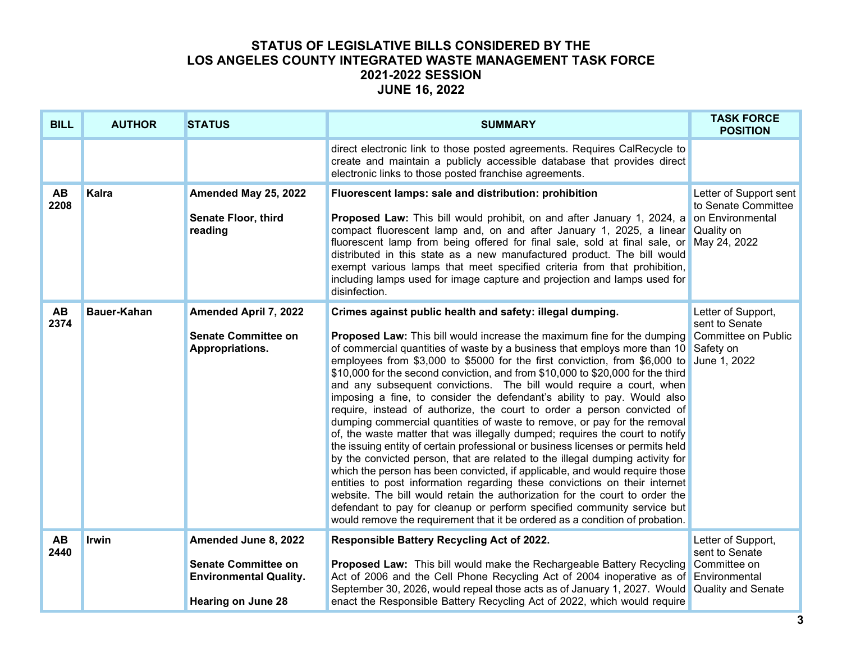| <b>BILL</b>       | <b>AUTHOR</b>      | <b>STATUS</b>                                                                                                    | <b>SUMMARY</b>                                                                                                                                                                                                                                                                                                                                                                                                                                                                                                                                                                                                                                                                                                                                                                                                                                                                                                                                                                                                                                                                                                                                                                                                                                                                                                                                                 | <b>TASK FORCE</b><br><b>POSITION</b>                                                     |
|-------------------|--------------------|------------------------------------------------------------------------------------------------------------------|----------------------------------------------------------------------------------------------------------------------------------------------------------------------------------------------------------------------------------------------------------------------------------------------------------------------------------------------------------------------------------------------------------------------------------------------------------------------------------------------------------------------------------------------------------------------------------------------------------------------------------------------------------------------------------------------------------------------------------------------------------------------------------------------------------------------------------------------------------------------------------------------------------------------------------------------------------------------------------------------------------------------------------------------------------------------------------------------------------------------------------------------------------------------------------------------------------------------------------------------------------------------------------------------------------------------------------------------------------------|------------------------------------------------------------------------------------------|
|                   |                    |                                                                                                                  | direct electronic link to those posted agreements. Requires CalRecycle to<br>create and maintain a publicly accessible database that provides direct<br>electronic links to those posted franchise agreements.                                                                                                                                                                                                                                                                                                                                                                                                                                                                                                                                                                                                                                                                                                                                                                                                                                                                                                                                                                                                                                                                                                                                                 |                                                                                          |
| <b>AB</b><br>2208 | <b>Kalra</b>       | Amended May 25, 2022<br>Senate Floor, third<br>reading                                                           | Fluorescent lamps: sale and distribution: prohibition<br>Proposed Law: This bill would prohibit, on and after January 1, 2024, a on Environmental<br>compact fluorescent lamp and, on and after January 1, 2025, a linear<br>fluorescent lamp from being offered for final sale, sold at final sale, or<br>distributed in this state as a new manufactured product. The bill would<br>exempt various lamps that meet specified criteria from that prohibition,<br>including lamps used for image capture and projection and lamps used for<br>disinfection.                                                                                                                                                                                                                                                                                                                                                                                                                                                                                                                                                                                                                                                                                                                                                                                                    | Letter of Support sent<br>to Senate Committee<br>Quality on<br>May 24, 2022              |
| <b>AB</b><br>2374 | <b>Bauer-Kahan</b> | <b>Amended April 7, 2022</b><br><b>Senate Committee on</b><br>Appropriations.                                    | Crimes against public health and safety: illegal dumping.<br><b>Proposed Law:</b> This bill would increase the maximum fine for the dumping<br>of commercial quantities of waste by a business that employs more than 10<br>employees from \$3,000 to \$5000 for the first conviction, from \$6,000 to<br>\$10,000 for the second conviction, and from \$10,000 to \$20,000 for the third<br>and any subsequent convictions. The bill would require a court, when<br>imposing a fine, to consider the defendant's ability to pay. Would also<br>require, instead of authorize, the court to order a person convicted of<br>dumping commercial quantities of waste to remove, or pay for the removal<br>of, the waste matter that was illegally dumped; requires the court to notify<br>the issuing entity of certain professional or business licenses or permits held<br>by the convicted person, that are related to the illegal dumping activity for<br>which the person has been convicted, if applicable, and would require those<br>entities to post information regarding these convictions on their internet<br>website. The bill would retain the authorization for the court to order the<br>defendant to pay for cleanup or perform specified community service but<br>would remove the requirement that it be ordered as a condition of probation. | Letter of Support,<br>sent to Senate<br>Committee on Public<br>Safety on<br>June 1, 2022 |
| <b>AB</b><br>2440 | Irwin              | Amended June 8, 2022<br><b>Senate Committee on</b><br><b>Environmental Quality.</b><br><b>Hearing on June 28</b> | Responsible Battery Recycling Act of 2022.<br><b>Proposed Law:</b> This bill would make the Rechargeable Battery Recycling<br>Act of 2006 and the Cell Phone Recycling Act of 2004 inoperative as of Environmental<br>September 30, 2026, would repeal those acts as of January 1, 2027. Would<br>enact the Responsible Battery Recycling Act of 2022, which would require                                                                                                                                                                                                                                                                                                                                                                                                                                                                                                                                                                                                                                                                                                                                                                                                                                                                                                                                                                                     | Letter of Support,<br>sent to Senate<br>Committee on<br><b>Quality and Senate</b>        |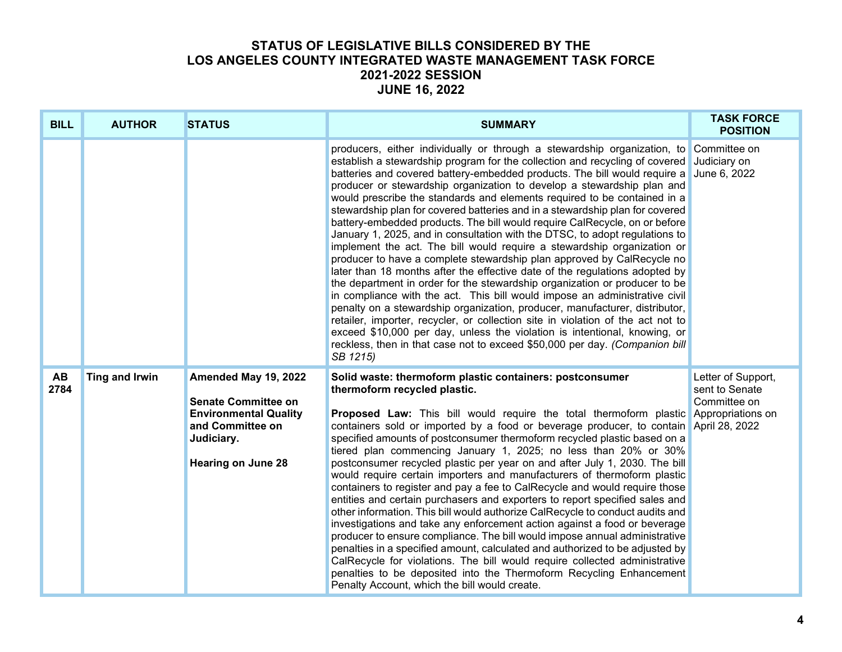| <b>BILL</b> | <b>AUTHOR</b>  | <b>STATUS</b>                                                                                                                                     | <b>SUMMARY</b>                                                                                                                                                                                                                                                                                                                                                                                                                                                                                                                                                                                                                                                                                                                                                                                                                                                                                                                                                                                                                                                                                                                                                                                                                                                                                                                                                                                                           | <b>TASK FORCE</b><br><b>POSITION</b>                 |
|-------------|----------------|---------------------------------------------------------------------------------------------------------------------------------------------------|--------------------------------------------------------------------------------------------------------------------------------------------------------------------------------------------------------------------------------------------------------------------------------------------------------------------------------------------------------------------------------------------------------------------------------------------------------------------------------------------------------------------------------------------------------------------------------------------------------------------------------------------------------------------------------------------------------------------------------------------------------------------------------------------------------------------------------------------------------------------------------------------------------------------------------------------------------------------------------------------------------------------------------------------------------------------------------------------------------------------------------------------------------------------------------------------------------------------------------------------------------------------------------------------------------------------------------------------------------------------------------------------------------------------------|------------------------------------------------------|
|             |                |                                                                                                                                                   | producers, either individually or through a stewardship organization, to Committee on<br>establish a stewardship program for the collection and recycling of covered Judiciary on<br>batteries and covered battery-embedded products. The bill would require a June 6, 2022<br>producer or stewardship organization to develop a stewardship plan and<br>would prescribe the standards and elements required to be contained in a<br>stewardship plan for covered batteries and in a stewardship plan for covered<br>battery-embedded products. The bill would require CalRecycle, on or before<br>January 1, 2025, and in consultation with the DTSC, to adopt regulations to<br>implement the act. The bill would require a stewardship organization or<br>producer to have a complete stewardship plan approved by CalRecycle no<br>later than 18 months after the effective date of the regulations adopted by<br>the department in order for the stewardship organization or producer to be<br>in compliance with the act. This bill would impose an administrative civil<br>penalty on a stewardship organization, producer, manufacturer, distributor,<br>retailer, importer, recycler, or collection site in violation of the act not to<br>exceed \$10,000 per day, unless the violation is intentional, knowing, or<br>reckless, then in that case not to exceed \$50,000 per day. (Companion bill<br>SB 1215) |                                                      |
| AB<br>2784  | Ting and Irwin | Amended May 19, 2022<br><b>Senate Committee on</b><br><b>Environmental Quality</b><br>and Committee on<br>Judiciary.<br><b>Hearing on June 28</b> | Solid waste: thermoform plastic containers: postconsumer<br>thermoform recycled plastic.<br>Proposed Law: This bill would require the total thermoform plastic Appropriations on<br>containers sold or imported by a food or beverage producer, to contain April 28, 2022<br>specified amounts of postconsumer thermoform recycled plastic based on a<br>tiered plan commencing January 1, 2025; no less than 20% or 30%<br>postconsumer recycled plastic per year on and after July 1, 2030. The bill<br>would require certain importers and manufacturers of thermoform plastic<br>containers to register and pay a fee to CalRecycle and would require those<br>entities and certain purchasers and exporters to report specified sales and<br>other information. This bill would authorize CalRecycle to conduct audits and<br>investigations and take any enforcement action against a food or beverage<br>producer to ensure compliance. The bill would impose annual administrative<br>penalties in a specified amount, calculated and authorized to be adjusted by<br>CalRecycle for violations. The bill would require collected administrative<br>penalties to be deposited into the Thermoform Recycling Enhancement<br>Penalty Account, which the bill would create.                                                                                                                                         | Letter of Support,<br>sent to Senate<br>Committee on |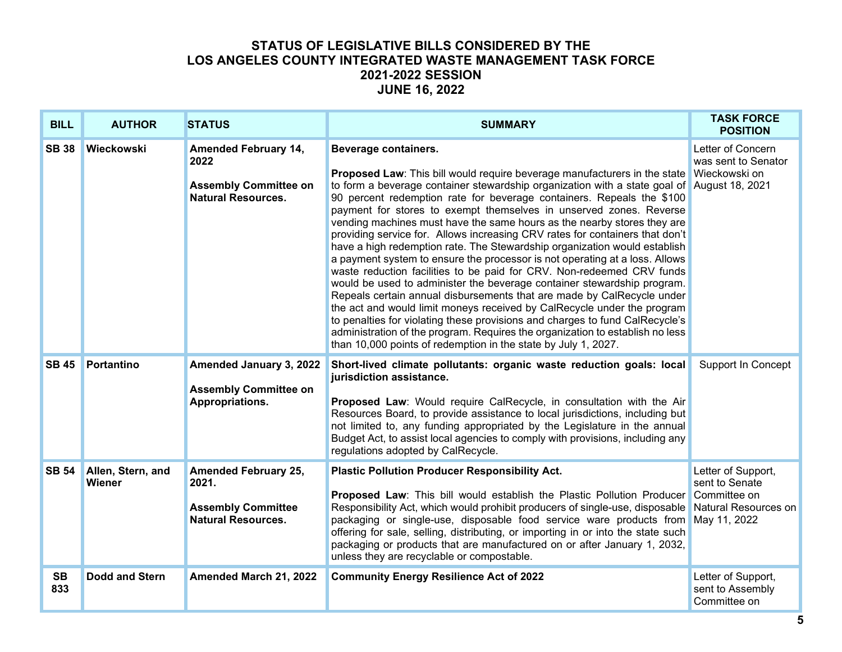| <b>BILL</b>      | <b>AUTHOR</b>                      | <b>STATUS</b>                                                                                    | <b>SUMMARY</b>                                                                                                                                                                                                                                                                                                                                                                                                                                                                                                                                                                                                                                                                                                                                                                                                                                                                                                                                                                                                                                                                                                                                                                                                           | <b>TASK FORCE</b><br><b>POSITION</b>                      |
|------------------|------------------------------------|--------------------------------------------------------------------------------------------------|--------------------------------------------------------------------------------------------------------------------------------------------------------------------------------------------------------------------------------------------------------------------------------------------------------------------------------------------------------------------------------------------------------------------------------------------------------------------------------------------------------------------------------------------------------------------------------------------------------------------------------------------------------------------------------------------------------------------------------------------------------------------------------------------------------------------------------------------------------------------------------------------------------------------------------------------------------------------------------------------------------------------------------------------------------------------------------------------------------------------------------------------------------------------------------------------------------------------------|-----------------------------------------------------------|
| <b>SB 38</b>     | Wieckowski                         | <b>Amended February 14,</b><br>2022<br><b>Assembly Committee on</b><br><b>Natural Resources.</b> | Beverage containers.<br><b>Proposed Law:</b> This bill would require beverage manufacturers in the state<br>to form a beverage container stewardship organization with a state goal of August 18, 2021<br>90 percent redemption rate for beverage containers. Repeals the \$100<br>payment for stores to exempt themselves in unserved zones. Reverse<br>vending machines must have the same hours as the nearby stores they are<br>providing service for. Allows increasing CRV rates for containers that don't<br>have a high redemption rate. The Stewardship organization would establish<br>a payment system to ensure the processor is not operating at a loss. Allows<br>waste reduction facilities to be paid for CRV. Non-redeemed CRV funds<br>would be used to administer the beverage container stewardship program.<br>Repeals certain annual disbursements that are made by CalRecycle under<br>the act and would limit moneys received by CalRecycle under the program<br>to penalties for violating these provisions and charges to fund CalRecycle's<br>administration of the program. Requires the organization to establish no less<br>than 10,000 points of redemption in the state by July 1, 2027. | Letter of Concern<br>was sent to Senator<br>Wieckowski on |
| <b>SB 45</b>     | <b>Portantino</b>                  | Amended January 3, 2022<br><b>Assembly Committee on</b><br>Appropriations.                       | Short-lived climate pollutants: organic waste reduction goals: local<br>jurisdiction assistance.<br>Proposed Law: Would require CalRecycle, in consultation with the Air<br>Resources Board, to provide assistance to local jurisdictions, including but<br>not limited to, any funding appropriated by the Legislature in the annual<br>Budget Act, to assist local agencies to comply with provisions, including any<br>regulations adopted by CalRecycle.                                                                                                                                                                                                                                                                                                                                                                                                                                                                                                                                                                                                                                                                                                                                                             | Support In Concept                                        |
| <b>SB 54</b>     | Allen, Stern, and<br><b>Wiener</b> | <b>Amended February 25,</b><br>2021.<br><b>Assembly Committee</b><br><b>Natural Resources.</b>   | <b>Plastic Pollution Producer Responsibility Act.</b><br>Proposed Law: This bill would establish the Plastic Pollution Producer Committee on<br>Responsibility Act, which would prohibit producers of single-use, disposable Natural Resources on<br>packaging or single-use, disposable food service ware products from May 11, 2022<br>offering for sale, selling, distributing, or importing in or into the state such<br>packaging or products that are manufactured on or after January 1, 2032,<br>unless they are recyclable or compostable.                                                                                                                                                                                                                                                                                                                                                                                                                                                                                                                                                                                                                                                                      | Letter of Support,<br>sent to Senate                      |
| <b>SB</b><br>833 | <b>Dodd and Stern</b>              | Amended March 21, 2022                                                                           | <b>Community Energy Resilience Act of 2022</b>                                                                                                                                                                                                                                                                                                                                                                                                                                                                                                                                                                                                                                                                                                                                                                                                                                                                                                                                                                                                                                                                                                                                                                           | Letter of Support,<br>sent to Assembly<br>Committee on    |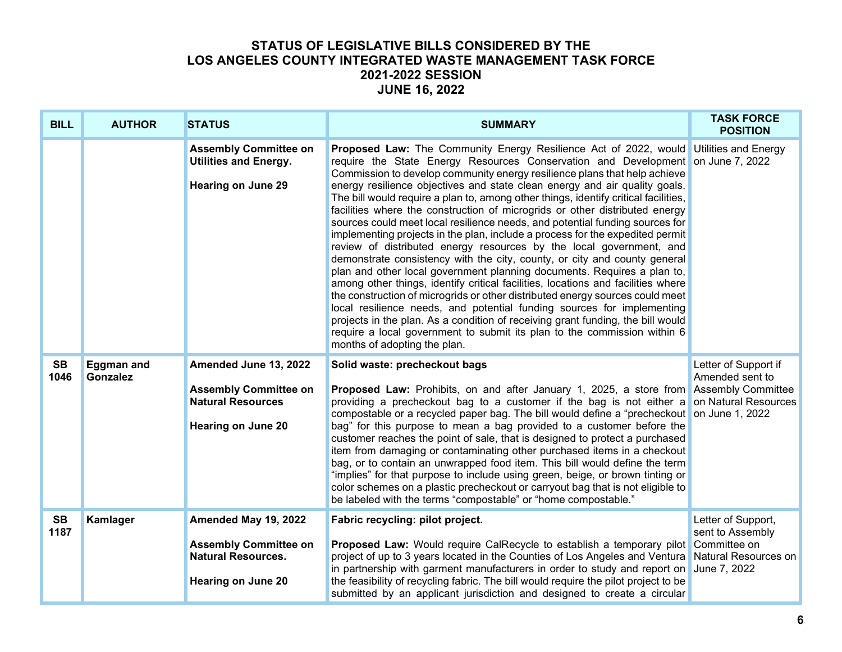| <b>BILL</b>       | <b>AUTHOR</b>                        | <b>STATUS</b>                                                                                                  | <b>SUMMARY</b>                                                                                                                                                                                                                                                                                                                                                                                                                                                                                                                                                                                                                                                                                                                                                                                                                                                                                                                                                                                                                                                                                                                                                                                                                                                                                                                                                 | <b>TASK FORCE</b><br><b>POSITION</b>    |
|-------------------|--------------------------------------|----------------------------------------------------------------------------------------------------------------|----------------------------------------------------------------------------------------------------------------------------------------------------------------------------------------------------------------------------------------------------------------------------------------------------------------------------------------------------------------------------------------------------------------------------------------------------------------------------------------------------------------------------------------------------------------------------------------------------------------------------------------------------------------------------------------------------------------------------------------------------------------------------------------------------------------------------------------------------------------------------------------------------------------------------------------------------------------------------------------------------------------------------------------------------------------------------------------------------------------------------------------------------------------------------------------------------------------------------------------------------------------------------------------------------------------------------------------------------------------|-----------------------------------------|
|                   |                                      | <b>Assembly Committee on</b><br><b>Utilities and Energy.</b><br><b>Hearing on June 29</b>                      | <b>Proposed Law:</b> The Community Energy Resilience Act of 2022, would Utilities and Energy<br>require the State Energy Resources Conservation and Development on June 7, 2022<br>Commission to develop community energy resilience plans that help achieve<br>energy resilience objectives and state clean energy and air quality goals.<br>The bill would require a plan to, among other things, identify critical facilities,<br>facilities where the construction of microgrids or other distributed energy<br>sources could meet local resilience needs, and potential funding sources for<br>implementing projects in the plan, include a process for the expedited permit<br>review of distributed energy resources by the local government, and<br>demonstrate consistency with the city, county, or city and county general<br>plan and other local government planning documents. Requires a plan to,<br>among other things, identify critical facilities, locations and facilities where<br>the construction of microgrids or other distributed energy sources could meet<br>local resilience needs, and potential funding sources for implementing<br>projects in the plan. As a condition of receiving grant funding, the bill would<br>require a local government to submit its plan to the commission within 6<br>months of adopting the plan. |                                         |
| <b>SB</b><br>1046 | <b>Eggman and</b><br><b>Gonzalez</b> | Amended June 13, 2022<br><b>Assembly Committee on</b><br><b>Natural Resources</b><br><b>Hearing on June 20</b> | Solid waste: precheckout bags<br><b>Proposed Law:</b> Prohibits, on and after January 1, 2025, a store from Assembly Committee<br>providing a precheckout bag to a customer if the bag is not either a on Natural Resources<br>compostable or a recycled paper bag. The bill would define a "precheckout on June 1, 2022<br>bag" for this purpose to mean a bag provided to a customer before the<br>customer reaches the point of sale, that is designed to protect a purchased<br>item from damaging or contaminating other purchased items in a checkout<br>bag, or to contain an unwrapped food item. This bill would define the term<br>"implies" for that purpose to include using green, beige, or brown tinting or<br>color schemes on a plastic precheckout or carryout bag that is not eligible to<br>be labeled with the terms "compostable" or "home compostable."                                                                                                                                                                                                                                                                                                                                                                                                                                                                                 | Letter of Support if<br>Amended sent to |
| <b>SB</b><br>1187 | Kamlager                             | Amended May 19, 2022<br><b>Assembly Committee on</b><br><b>Natural Resources.</b><br><b>Hearing on June 20</b> | Fabric recycling: pilot project.<br>Proposed Law: Would require CalRecycle to establish a temporary pilot Committee on<br>project of up to 3 years located in the Counties of Los Angeles and Ventura Natural Resources on<br>in partnership with garment manufacturers in order to study and report on June 7, 2022<br>the feasibility of recycling fabric. The bill would require the pilot project to be<br>submitted by an applicant jurisdiction and designed to create a circular                                                                                                                                                                                                                                                                                                                                                                                                                                                                                                                                                                                                                                                                                                                                                                                                                                                                        | Letter of Support,<br>sent to Assembly  |